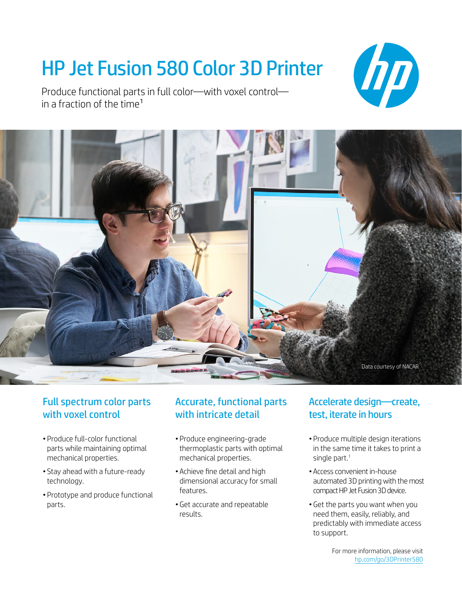## HP Jet Fusion 580 Color 3D Printer





### Full spectrum color parts with voxel control

- Produce full-color functional parts while maintaining optimal mechanical properties.
- Stay ahead with a future-ready technology.
- Prototype and produce functional parts.

### Accurate, functional parts with intricate detail

- Produce engineering-grade thermoplastic parts with optimal mechanical properties.
- Achieve fine detail and high dimensional accuracy for small features.
- •Get accurate and repeatable results.

### Accelerate design—create, test, iterate in hours

hp

- Produce multiple design iterations in the same time it takes to print a single part.<sup>1</sup>
- Access convenient in-house automated 3D printing with the most compact HP Jet Fusion 3D device.
- •Get the parts you want when you need them, easily, reliably, and predictably with immediate access to support.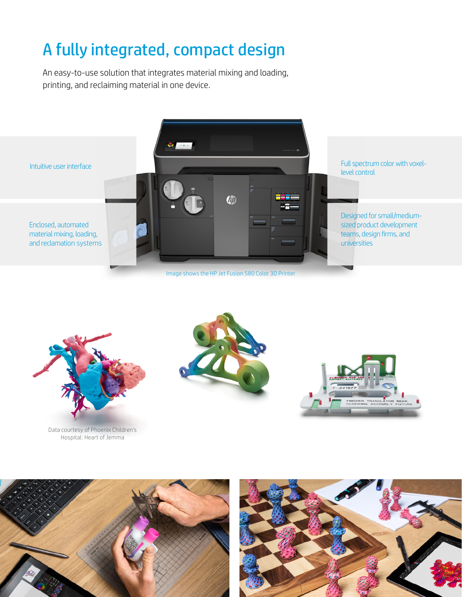## A fully integrated, compact design

An easy-to-use solution that integrates material mixing and loading, printing, and reclaiming material in one device.





Data courtesy of Phoenix Children's Hospital: Heart of Jemma







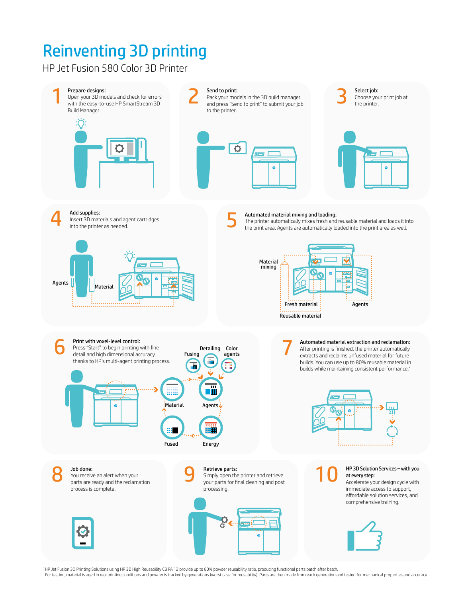# Reinventing 3D printing Reinventing 3D printing

HP Jet Fusion 580 Color 3D Printer



\* HP Jet Fusion 3D Printing Solutions using HP 3D High Reusability CB PA 12 provide up to 80% powder reusability ratio, producing functional parts batch after batch.

For testing, material is aged in real printing conditions and powder is tracked by generations (worst case for reusability). Parts are then made from each generation and tested for mechanical properties and accuracy.